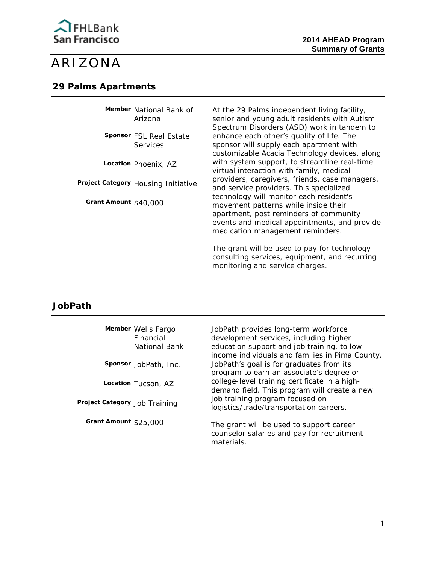

# ARIZONA

#### **29 Palms Apartments**

**Member** National Bank of Arizona

 Services **Sponsor** FSL Real Estate

**Location** Phoenix, AZ

 **Project Category** Housing Initiative

**Grant Amount** \$40,000

At the 29 Palms independent living facility, senior and young adult residents with Autism Spectrum Disorders (ASD) work in tandem to enhance each other's quality of life. The sponsor will supply each apartment with customizable Acacia Technology devices, along with system support, to streamline real-time virtual interaction with family, medical providers, caregivers, friends, case managers, and service providers. This specialized technology will monitor each resident's movement patterns while inside their apartment, post reminders of community events and medical appointments, and provide medication management reminders.

The grant will be used to pay for technology consulting services, equipment, and recurring monitoring and service charges.

## **JobPath**

|                               | Member Wells Fargo<br>Financial<br>National Bank | JobPath provides long-term workforce<br>development services, including higher<br>education support and job training, to low-<br>income individuals and families in Pima County. |
|-------------------------------|--------------------------------------------------|----------------------------------------------------------------------------------------------------------------------------------------------------------------------------------|
|                               | Sponsor JobPath, Inc.                            | JobPath's goal is for graduates from its<br>program to earn an associate's degree or                                                                                             |
|                               | Location Tucson, AZ                              | college-level training certificate in a high-<br>demand field. This program will create a new                                                                                    |
| Project Category Job Training |                                                  | job training program focused on<br>logistics/trade/transportation careers.                                                                                                       |
| Grant Amount \$25,000         |                                                  | The grant will be used to support career<br>counselor salaries and pay for recruitment<br>materials.                                                                             |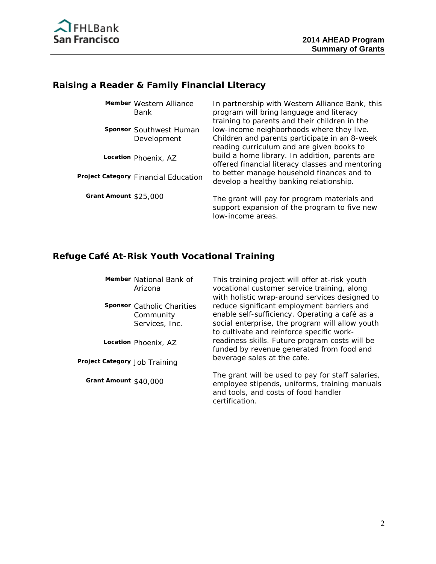

# **Raising a Reader & Family Financial Literacy**

| Member Western Alliance<br>Bank        | In partnership with Western Alliance Bank, this<br>program will bring language and literacy<br>training to parents and their children in the |
|----------------------------------------|----------------------------------------------------------------------------------------------------------------------------------------------|
| Sponsor Southwest Human<br>Development | low-income neighborhoods where they live.<br>Children and parents participate in an 8-week<br>reading curriculum and are given books to      |
| Location Phoenix, AZ                   | build a home library. In addition, parents are<br>offered financial literacy classes and mentoring                                           |
| Project Category Financial Education   | to better manage household finances and to<br>develop a healthy banking relationship.                                                        |
| Grant Amount \$25,000                  | The grant will pay for program materials and<br>support expansion of the program to five new<br>low-income areas.                            |

# **Refuge Café At-Risk Youth Vocational Training**

|                               | Member National Bank of<br>Arizona<br><b>Sponsor</b> Catholic Charities<br>Community<br>Services, Inc.<br>Location Phoenix, AZ | This training project will offer at-risk youth<br>vocational customer service training, along<br>with holistic wrap-around services designed to<br>reduce significant employment barriers and<br>enable self-sufficiency. Operating a café as a<br>social enterprise, the program will allow youth<br>to cultivate and reinforce specific work-<br>readiness skills. Future program costs will be<br>funded by revenue generated from food and<br>beverage sales at the cafe. |
|-------------------------------|--------------------------------------------------------------------------------------------------------------------------------|-------------------------------------------------------------------------------------------------------------------------------------------------------------------------------------------------------------------------------------------------------------------------------------------------------------------------------------------------------------------------------------------------------------------------------------------------------------------------------|
| Project Category Job Training |                                                                                                                                |                                                                                                                                                                                                                                                                                                                                                                                                                                                                               |
| Grant Amount \$40,000         |                                                                                                                                | The grant will be used to pay for staff salaries,<br>employee stipends, uniforms, training manuals<br>and tools, and costs of food handler<br>certification.                                                                                                                                                                                                                                                                                                                  |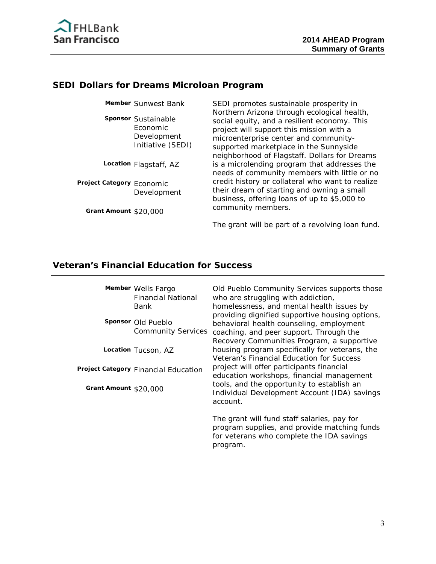

#### **SEDI Dollars for Dreams Microloan Program**

**Sponsor** Sustainable Economic Development Initiative (SEDI)

**Location** Flagstaff, AZ

**Project Category** Economic Development

**Grant Amount** \$20,000

**Member** Sunwest Bank SEDI promotes sustainable prosperity in Northern Arizona through ecological health, social equity, and a resilient economy. This project will support this mission with a microenterprise center and communitysupported marketplace in the Sunnyside neighborhood of Flagstaff. Dollars for Dreams is a microlending program that addresses the needs of community members with little or no credit history or collateral who want to realize their dream of starting and owning a small business, offering loans of up to \$5,000 to community members.

The grant will be part of a revolving loan fund.

#### **Veteran's Financial Education for Success**

**Member** Wells Fargo Financial National Bank

**Sponsor** Old Pueblo Community Services

**Location** Tucson, AZ

**Project Category** Financial Education

**Grant Amount** \$20,000

Old Pueblo Community Services supports those who are struggling with addiction, homelessness, and mental health issues by providing dignified supportive housing options, behavioral health counseling, employment coaching, and peer support. Through the Recovery Communities Program, a supportive housing program specifically for veterans, the Veteran's Financial Education for Success project will offer participants financial education workshops, financial management tools, and the opportunity to establish an Individual Development Account (IDA) savings account.

The grant will fund staff salaries, pay for program supplies, and provide matching funds for veterans who complete the IDA savings program.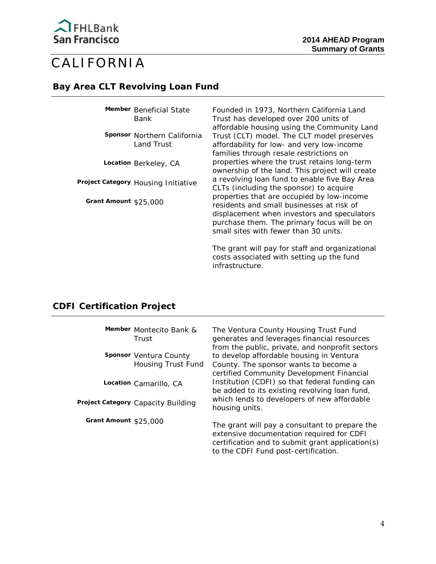

# CALIFORNIA

#### **Bay Area CLT Revolving Loan Fund**

**Member** Beneficial State Bank

**Sponsor** Northern California Land Trust

**Location** Berkeley, CA

**Project Category** Housing Initiative

**Grant Amount** \$25,000

Founded in 1973, Northern California Land Trust has developed over 200 units of affordable housing using the Community Land Trust (CLT) model. The CLT model preserves affordability for low- and very low-income families through resale restrictions on properties where the trust retains long-term ownership of the land. This project will create a revolving loan fund to enable five Bay Area CLTs (including the sponsor) to acquire properties that are occupied by low-income residents and small businesses at risk of displacement when investors and speculators purchase them. The primary focus will be on small sites with fewer than 30 units.

The grant will pay for staff and organizational costs associated with setting up the fund infrastructure.

## **CDFI Certification Project**

|                       | Member Montecito Bank &<br>Trust             | The Ventura County Housing Trust Fund<br>generates and leverages financial resources<br>from the public, private, and nonprofit sectors                                                 |
|-----------------------|----------------------------------------------|-----------------------------------------------------------------------------------------------------------------------------------------------------------------------------------------|
|                       | Sponsor Ventura County<br>Housing Trust Fund | to develop affordable housing in Ventura<br>County. The sponsor wants to become a<br>certified Community Development Financial                                                          |
|                       | Location Camarillo, CA                       | Institution (CDFI) so that federal funding can<br>be added to its existing revolving loan fund,                                                                                         |
|                       | Project Category Capacity Building           | which lends to developers of new affordable<br>housing units.                                                                                                                           |
| Grant Amount \$25,000 |                                              | The grant will pay a consultant to prepare the<br>extensive documentation required for CDFI<br>certification and to submit grant application(s)<br>to the CDFI Fund post-certification. |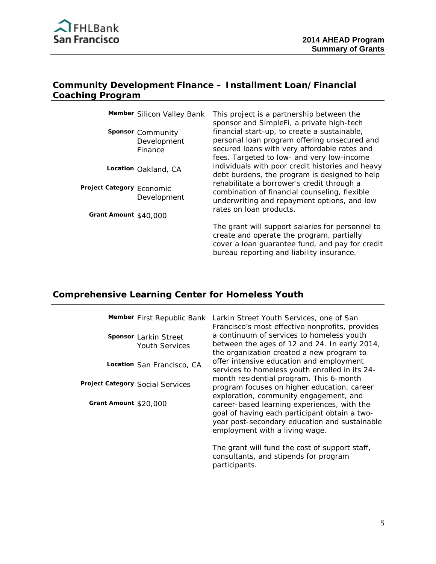

# **Community Development Finance – Installment Loan/Financial Coaching Program**

|                           | Member Silicon Valley Bank                  | This project is a partnership between the<br>sponsor and SimpleFi, a private high-tech                                                                                                        |
|---------------------------|---------------------------------------------|-----------------------------------------------------------------------------------------------------------------------------------------------------------------------------------------------|
|                           | Sponsor Community<br>Development<br>Finance | financial start-up, to create a sustainable,<br>personal loan program offering unsecured and<br>secured loans with very affordable rates and<br>fees. Targeted to low- and very low-income    |
|                           | Location Oakland, CA                        | individuals with poor credit histories and heavy<br>debt burdens, the program is designed to help                                                                                             |
| Project Category Economic | Development                                 | rehabilitate a borrower's credit through a<br>combination of financial counseling, flexible<br>underwriting and repayment options, and low                                                    |
| Grant Amount \$40,000     |                                             | rates on loan products.                                                                                                                                                                       |
|                           |                                             | The grant will support salaries for personnel to<br>create and operate the program, partially<br>cover a loan guarantee fund, and pay for credit<br>bureau reporting and liability insurance. |

# **Comprehensive Learning Center for Homeless Youth**

|                       | Member First Republic Bank                            | Larkin Street Youth Servio                                                                                                                  |
|-----------------------|-------------------------------------------------------|---------------------------------------------------------------------------------------------------------------------------------------------|
|                       | <b>Sponsor</b> Larkin Street<br><b>Youth Services</b> | Francisco's most effective<br>a continuum of services to<br>between the ages of 12 are<br>the organization created a                        |
|                       | Location San Francisco, CA                            | offer intensive education a<br>services to homeless yout                                                                                    |
|                       | Project Category Social Services                      | month residential progran<br>program focuses on highe                                                                                       |
| Grant Amount \$20,000 |                                                       | exploration, community e<br>career-based learning exp<br>goal of having each partic<br>year post-secondary educ<br>employment with a living |
|                       |                                                       | The grant will fund the co<br>consultants, and stipends                                                                                     |

ces, one of San nonprofits, provides o homeless youth nd 24. In early 2014, a new program to and employment th enrolled in its 24m. This 6-month er education, career engagement, and periences, with the ipant obtain a twoation and sustainable wage.

st of support staff, for program participants.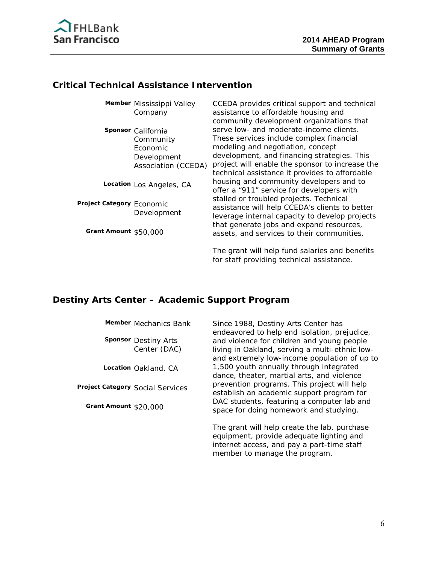

# **Critical Technical Assistance Intervention**

|                           | Member Mississippi Valley<br>Company                                              | CCEDA provides critical support and technical<br>assistance to affordable housing and<br>community development organizations that                                                                                                                                            |
|---------------------------|-----------------------------------------------------------------------------------|------------------------------------------------------------------------------------------------------------------------------------------------------------------------------------------------------------------------------------------------------------------------------|
|                           | Sponsor California<br>Community<br>Economic<br>Development<br>Association (CCEDA) | serve low- and moderate-income clients.<br>These services include complex financial<br>modeling and negotiation, concept<br>development, and financing strategies. This<br>project will enable the sponsor to increase the<br>technical assistance it provides to affordable |
|                           | Location Los Angeles, CA                                                          | housing and community developers and to<br>offer a "911" service for developers with                                                                                                                                                                                         |
| Project Category Economic | Development                                                                       | stalled or troubled projects. Technical<br>assistance will help CCEDA's clients to better<br>leverage internal capacity to develop projects                                                                                                                                  |
| Grant Amount \$50,000     |                                                                                   | that generate jobs and expand resources,<br>assets, and services to their communities.                                                                                                                                                                                       |
|                           |                                                                                   | The grant will help fund salaries and benefits<br>for staff providing technical assistance.                                                                                                                                                                                  |

# **Destiny Arts Center – Academic Support Program**

|                                  | Member Mechanics Bank | Since 1988, Destiny Arts Center has<br>endeavored to help end isolation, prejudice,                                                                                     |
|----------------------------------|-----------------------|-------------------------------------------------------------------------------------------------------------------------------------------------------------------------|
| <b>Sponsor Destiny Arts</b>      | Center (DAC)          | and violence for children and young people<br>living in Oakland, serving a multi-ethnic low-<br>and extremely low-income population of up to                            |
| Location Oakland, CA             |                       | 1,500 youth annually through integrated<br>dance, theater, martial arts, and violence                                                                                   |
| Project Category Social Services |                       | prevention programs. This project will help<br>establish an academic support program for                                                                                |
| Grant Amount \$20,000            |                       | DAC students, featuring a computer lab and<br>space for doing homework and studying.                                                                                    |
|                                  |                       | The grant will help create the lab, purchase<br>equipment, provide adequate lighting and<br>internet access, and pay a part-time staff<br>member to manage the program. |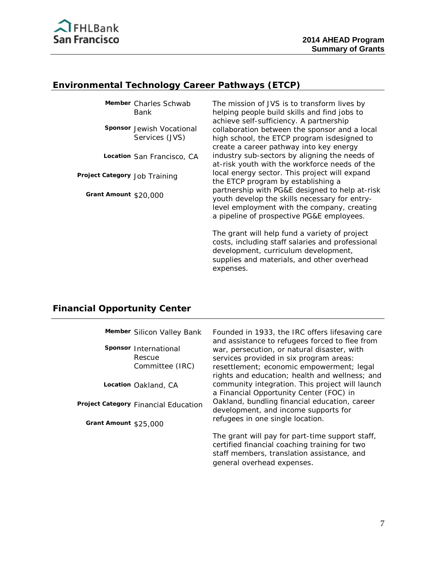

## **Environmental Technology Career Pathways (ETCP)**

**Member** Charles Schwab Bank

**Sponsor** Jewish Vocational Services (JVS)

**Location** San Francisco, CA

**Project Category** Job Training

**Grant Amount** \$20,000

The mission of JVS is to transform lives by helping people build skills and find jobs to achieve self-sufficiency. A partnership collaboration between the sponsor and a local high school, the ETCP program isdesigned to create a career pathway into key energy industry sub-sectors by aligning the needs of at-risk youth with the workforce needs of the local energy sector. This project will expand the ETCP program by establishing a partnership with PG&E designed to help at-risk youth develop the skills necessary for entrylevel employment with the company, creating a pipeline of prospective PG&E employees.

The grant will help fund a variety of project costs, including staff salaries and professional development, curriculum development, supplies and materials, and other overhead expenses.

## **Financial Opportunity Center**

|                       | Member Silicon Valley Bank                         | Founded in 1933, the IRC offers lifesaving care<br>and assistance to refugees forced to flee from                                                                                     |
|-----------------------|----------------------------------------------------|---------------------------------------------------------------------------------------------------------------------------------------------------------------------------------------|
|                       | Sponsor International<br>Rescue<br>Committee (IRC) | war, persecution, or natural disaster, with<br>services provided in six program areas:<br>resettlement; economic empowerment; legal<br>rights and education; health and wellness; and |
|                       | Location Oakland, CA                               | community integration. This project will launch<br>a Financial Opportunity Center (FOC) in                                                                                            |
|                       | Project Category Financial Education               | Oakland, bundling financial education, career<br>development, and income supports for                                                                                                 |
| Grant Amount \$25,000 |                                                    | refugees in one single location.                                                                                                                                                      |
|                       |                                                    | The grant will pay for part-time support staff,<br>certified financial coaching training for two<br>staff members, translation assistance, and<br>general overhead expenses.          |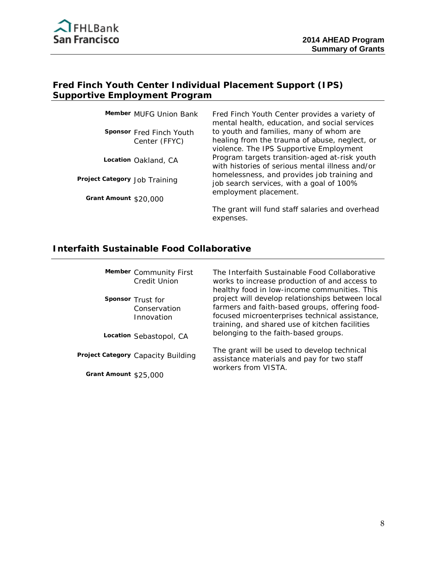

# **Fred Finch Youth Center Individual Placement Support (IPS) Supportive Employment Program**

**Sponsor** Fred Finch Youth Center (FFYC)

**Location** Oakland, CA

**Project Category** Job Training

**Grant Amount** \$20,000

**Member** MUFG Union Bank Fred Finch Youth Center provides a variety of mental health, education, and social services to youth and families, many of whom are healing from the trauma of abuse, neglect, or violence. The IPS Supportive Employment Program targets transition-aged at-risk youth with histories of serious mental illness and/or homelessness, and provides job training and job search services, with a goal of 100% employment placement.

> The grant will fund staff salaries and overhead expenses.

## **Interfaith Sustainable Food Collaborative**

|                       | Member Community First<br>Credit Union          | The Interfaith Sustainable Food Collaborative<br>works to increase production of and access to<br>healthy food in low-income communities. This                                                         |
|-----------------------|-------------------------------------------------|--------------------------------------------------------------------------------------------------------------------------------------------------------------------------------------------------------|
|                       | Sponsor Trust for<br>Conservation<br>Innovation | project will develop relationships between local<br>farmers and faith-based groups, offering food-<br>focused microenterprises technical assistance,<br>training, and shared use of kitchen facilities |
|                       | Location Sebastopol, CA                         | belonging to the faith-based groups.                                                                                                                                                                   |
|                       | Project Category Capacity Building              | The grant will be used to develop technical<br>assistance materials and pay for two staff<br>workers from VISTA.                                                                                       |
| Grant Amount \$25,000 |                                                 |                                                                                                                                                                                                        |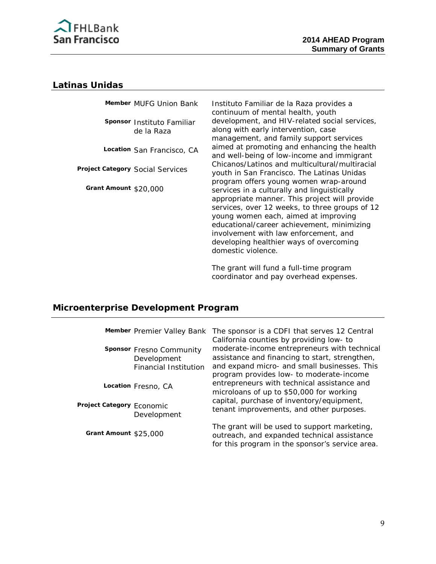

#### **Latinas Unidas**

|                       | Member MUFG Union Bank           | Instituto                     |
|-----------------------|----------------------------------|-------------------------------|
|                       |                                  | continuur                     |
|                       | Sponsor Instituto Familiar       | developm                      |
|                       | de la Raza                       | along wit                     |
|                       |                                  | managen                       |
|                       | Location San Francisco, CA       | aimed at                      |
|                       |                                  | and well-                     |
|                       | Project Category Social Services | Chicanos.                     |
|                       |                                  | youth in∶                     |
| Grant Amount \$20,000 |                                  | program                       |
|                       |                                  | services i                    |
|                       |                                  | appropria                     |
|                       |                                  | services,                     |
|                       |                                  | young wo                      |
|                       |                                  | educatior<br>وعديد والمروادية |

Familiar de la Raza provides a m of mental health, youth nent, and HIV-related social services, h early intervention, case nent, and family support services promoting and enhancing the health being of low-income and immigrant /Latinos and multicultural/multiracial San Francisco. The Latinas Unidas offers young women wrap-around in a culturally and linguistically ate manner. This project will provide over 12 weeks, to three groups of 12 omen each, aimed at improving hal/career achievement, minimizing involvement with law enforcement, and developing healthier ways of overcoming domestic violence.

The grant will fund a full-time program coordinator and pay overhead expenses.

## **Microenterprise Development Program**

|                           | Member Premier Valley Bank                                       | The sponsor is a CDFI that serves 12 Central<br>California counties by providing low- to                                                                                                   |
|---------------------------|------------------------------------------------------------------|--------------------------------------------------------------------------------------------------------------------------------------------------------------------------------------------|
|                           | Sponsor Fresno Community<br>Development<br>Financial Institution | moderate-income entrepreneurs with technical<br>assistance and financing to start, strengthen,<br>and expand micro- and small businesses. This<br>program provides low- to moderate-income |
|                           | Location Fresno, CA                                              | entrepreneurs with technical assistance and<br>microloans of up to \$50,000 for working                                                                                                    |
| Project Category Economic | Development                                                      | capital, purchase of inventory/equipment,<br>tenant improvements, and other purposes.                                                                                                      |
| Grant Amount $$25.000$    |                                                                  | The grant will be used to support marketing,<br>outreach, and expanded technical assistance<br>for this program in the sponsor's service area.                                             |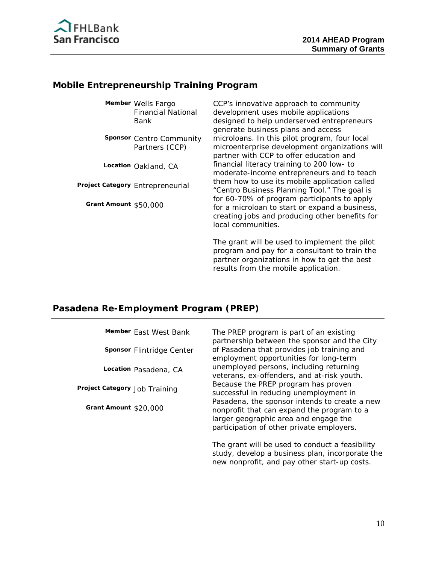

# **Mobile Entrepreneurship Training Program**

**Member** Wells Fargo Financial National Bank

**Sponsor** Centro Community Partners (CCP)

**Location** Oakland, CA

**Project Category** Entrepreneurial

**Grant Amount** \$50,000

CCP's innovative approach to community development uses mobile applications designed to help underserved entrepreneurs generate business plans and access microloans. In this pilot program, four local microenterprise development organizations will partner with CCP to offer education and financial literacy training to 200 low- to moderate-income entrepreneurs and to teach them how to use its mobile application called "Centro Business Planning Tool." The goal is for 60-70% of program participants to apply for a microloan to start or expand a business, creating jobs and producing other benefits for local communities.

The grant will be used to implement the pilot program and pay for a consultant to train the partner organizations in how to get the best results from the mobile application.

## **Pasadena Re-Employment Program (PREP)**

| Member East West Bank         | The PREP program is part of an existing<br>partnership between the sponsor and the City                                                                                           |
|-------------------------------|-----------------------------------------------------------------------------------------------------------------------------------------------------------------------------------|
| Sponsor Flintridge Center     | of Pasadena that provides job training and<br>employment opportunities for long-term                                                                                              |
| Location Pasadena, CA         | unemployed persons, including returning<br>veterans, ex-offenders, and at-risk youth.                                                                                             |
| Project Category Job Training | Because the PREP program has proven<br>successful in reducing unemployment in                                                                                                     |
| Grant Amount \$20,000         | Pasadena, the sponsor intends to create a new<br>nonprofit that can expand the program to a<br>larger geographic area and engage the<br>participation of other private employers. |
|                               | The grant will be used to conduct a feasibility<br>study develop a business plan incorporate the                                                                                  |

study, develop a business plan, incorporate the new nonprofit, and pay other start-up costs.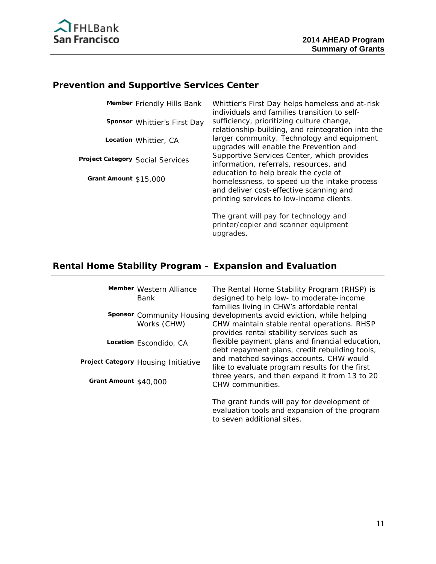

# **Prevention and Supportive Services Center**

| Member Friendly Hills Bank       | Whittier's First Day helps homeless and at-risk<br>individuals and families transition to self-                                                                             |
|----------------------------------|-----------------------------------------------------------------------------------------------------------------------------------------------------------------------------|
| Sponsor Whittier's First Day     | sufficiency, prioritizing culture change,<br>relationship-building, and reintegration into the                                                                              |
| Location Whittier, CA            | larger community. Technology and equipment<br>upgrades will enable the Prevention and                                                                                       |
| Project Category Social Services | Supportive Services Center, which provides<br>information, referrals, resources, and                                                                                        |
| Grant Amount \$15,000            | education to help break the cycle of<br>homelessness, to speed up the intake process<br>and deliver cost-effective scanning and<br>printing services to low-income clients. |
|                                  | The grant will pay for technology and                                                                                                                                       |

printer/copier and scanner equipment upgrades.

# **Rental Home Stability Program – Expansion and Evaluation**

|                       | Member Western Alliance<br>Bank     | The Rental Home Stability Program (RHSP) is<br>designed to help low- to moderate-income<br>families living in CHW's affordable rental                             |
|-----------------------|-------------------------------------|-------------------------------------------------------------------------------------------------------------------------------------------------------------------|
|                       | Works (CHW)                         | Sponsor Community Housing developments avoid eviction, while helping<br>CHW maintain stable rental operations. RHSP<br>provides rental stability services such as |
|                       | Location Escondido, CA              | flexible payment plans and financial education,<br>debt repayment plans, credit rebuilding tools,                                                                 |
|                       | Project Category Housing Initiative | and matched savings accounts. CHW would<br>like to evaluate program results for the first                                                                         |
| Grant Amount \$40,000 |                                     | three years, and then expand it from 13 to 20<br>CHW communities.                                                                                                 |
|                       |                                     | The grant funds will pay for development of<br>evaluation tools and expansion of the program                                                                      |

to seven additional sites.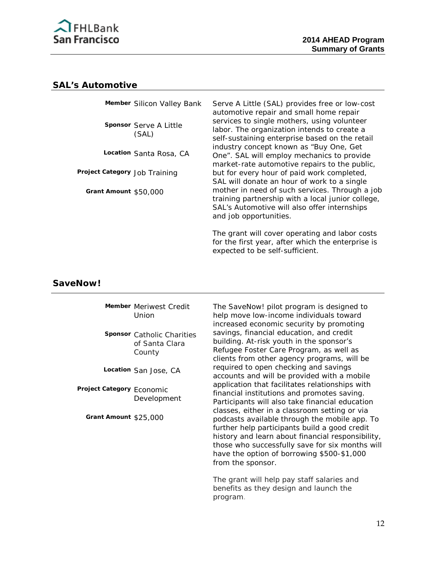

#### **SAL's Automotive**

|                               | Member Silicon Valley Bank      | Serve A Little (SAL) provides free or low-cost<br>automotive repair and small home repair                                                                                     |
|-------------------------------|---------------------------------|-------------------------------------------------------------------------------------------------------------------------------------------------------------------------------|
|                               | Sponsor Serve A Little<br>(SAL) | services to single mothers, using volunteer<br>labor. The organization intends to create a<br>self-sustaining enterprise based on the retail                                  |
|                               | Location Santa Rosa, CA         | industry concept known as "Buy One, Get<br>One". SAL will employ mechanics to provide<br>market-rate automotive repairs to the public,                                        |
| Project Category Job Training |                                 | but for every hour of paid work completed,<br>SAL will donate an hour of work to a single                                                                                     |
| Grant Amount \$50,000         |                                 | mother in need of such services. Through a job<br>training partnership with a local junior college,<br>SAL's Automotive will also offer internships<br>and job opportunities. |
|                               |                                 | The grant will cover operating and labor costs<br>for the first year, after which the enterprise is<br>expected to be self-sufficient.                                        |

#### **SaveNow!**

**Member** Meriwest Credit Union

**Sponsor** Catholic Charities of Santa Clara County

**Location** San Jose, CA

**Project Category** Economic Development

**Grant Amount** \$25,000

The SaveNow! pilot program is designed to help move low-income individuals toward increased economic security by promoting savings, financial education, and credit building. At-risk youth in the sponsor's Refugee Foster Care Program, as well as clients from other agency programs, will be required to open checking and savings accounts and will be provided with a mobile application that facilitates relationships with financial institutions and promotes saving. Participants will also take financial education classes, either in a classroom setting or via podcasts available through the mobile app. To further help participants build a good credit history and learn about financial responsibility, those who successfully save for six months will have the option of borrowing \$500-\$1,000 from the sponsor.

The grant will help pay staff salaries and benefits as they design and launch the program.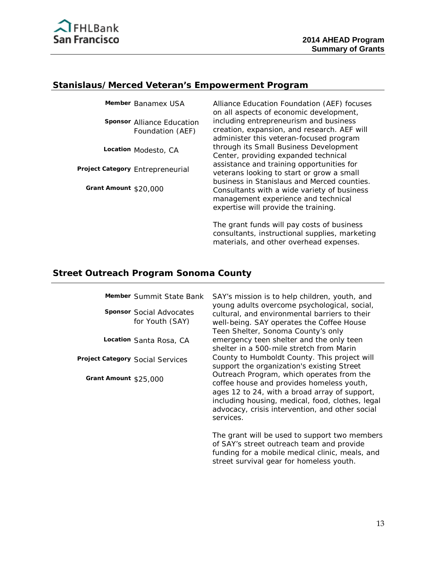

#### **Stanislaus/Merced Veteran's Empowerment Program**

**Sponsor** Alliance Education Foundation (AEF)

**Location** Modesto, CA

**Project Category** Entrepreneurial

**Grant Amount** \$20,000

**Member** Banamex USA Alliance Education Foundation (AEF) focuses on all aspects of economic development, including entrepreneurism and business creation, expansion, and research. AEF will administer this veteran-focused program through its Small Business Development Center, providing expanded technical assistance and training opportunities for veterans looking to start or grow a small business in Stanislaus and Merced counties. Consultants with a wide variety of business management experience and technical expertise will provide the training.

> The grant funds will pay costs of business consultants, instructional supplies, marketing materials, and other overhead expenses.

#### **Street Outreach Program Sonoma County**

|                       | Member Summit State Bank                           | SAY's mission is to help children, youth, and<br>young adults overcome psychological, social,                                                                                                                                                               |
|-----------------------|----------------------------------------------------|-------------------------------------------------------------------------------------------------------------------------------------------------------------------------------------------------------------------------------------------------------------|
|                       | <b>Sponsor Social Advocates</b><br>for Youth (SAY) | cultural, and environmental barriers to their<br>well-being. SAY operates the Coffee House<br>Teen Shelter, Sonoma County's only                                                                                                                            |
|                       | Location Santa Rosa, CA                            | emergency teen shelter and the only teen<br>shelter in a 500-mile stretch from Marin                                                                                                                                                                        |
|                       | Project Category Social Services                   | County to Humboldt County. This project will<br>support the organization's existing Street                                                                                                                                                                  |
| Grant Amount \$25,000 |                                                    | Outreach Program, which operates from the<br>coffee house and provides homeless youth,<br>ages 12 to 24, with a broad array of support,<br>including housing, medical, food, clothes, legal<br>advocacy, crisis intervention, and other social<br>services. |
|                       |                                                    | The grant will be used to support two members<br>of SAY's street outreach team and provide<br>funding for a mobile medical clinic, meals, and<br>street survival gear for homeless youth.                                                                   |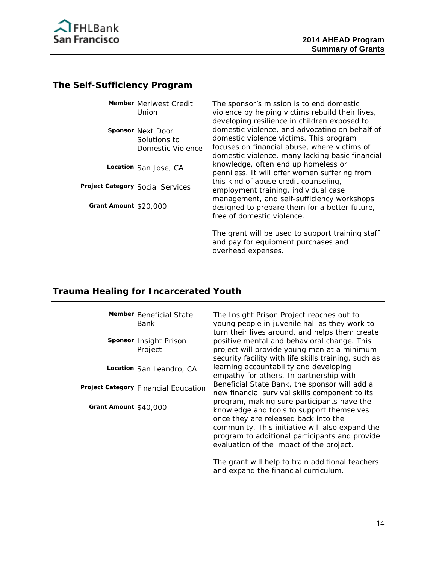

#### **The Self-Sufficiency Program**

|                                  | Member Meriwest Credit<br>Union                               | The sponsor's mission is to end domestic<br>violence by helping victims rebuild their lives,<br>developing resilience in children exposed to                                                 |
|----------------------------------|---------------------------------------------------------------|----------------------------------------------------------------------------------------------------------------------------------------------------------------------------------------------|
|                                  | <b>Sponsor Next Door</b><br>Solutions to<br>Domestic Violence | domestic violence, and advocating on behalf of<br>domestic violence victims. This program<br>focuses on financial abuse, where victims of<br>domestic violence, many lacking basic financial |
|                                  | Location San Jose, CA                                         | knowledge, often end up homeless or<br>penniless. It will offer women suffering from                                                                                                         |
| Project Category Social Services |                                                               | this kind of abuse credit counseling,<br>employment training, individual case                                                                                                                |
| Grant Amount \$20,000            |                                                               | management, and self-sufficiency workshops<br>designed to prepare them for a better future,<br>free of domestic violence.                                                                    |

The grant will be used to support training staff and pay for equipment purchases and overhead expenses.

#### **Trauma Healing for Incarcerated Youth**

**Member** Beneficial State Bank

**Sponsor** Insight Prison Project

**Location** San Leandro, CA

**Project Category** Financial Education

**Grant Amount** \$40,000

The Insight Prison Project reaches out to young people in juvenile hall as they work to turn their lives around, and helps them create positive mental and behavioral change. This project will provide young men at a minimum security facility with life skills training, such as learning accountability and developing empathy for others. In partnership with Beneficial State Bank, the sponsor will add a new financial survival skills component to its program, making sure participants have the knowledge and tools to support themselves once they are released back into the community. This initiative will also expand the program to additional participants and provide evaluation of the impact of the project.

The grant will help to train additional teachers and expand the financial curriculum.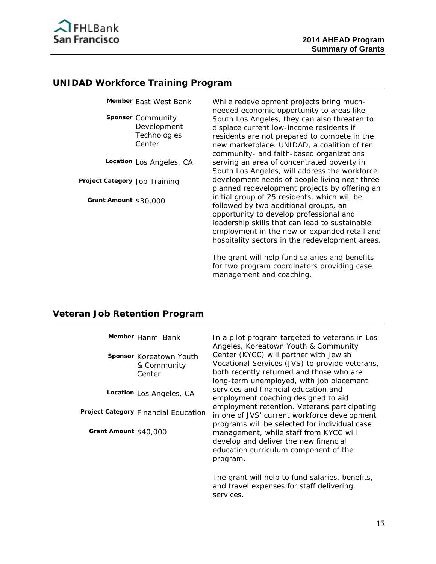

#### **UNIDAD Workforce Training Program**

**Sponsor** Community Development **Technologies** Center

**Location** Los Angeles, CA

**Project Category** Job Training

**Grant Amount** \$30,000

**Member** East West Bank While redevelopment projects bring muchneeded economic opportunity to areas like South Los Angeles, they can also threaten to displace current low-income residents if residents are not prepared to compete in the new marketplace. UNIDAD, a coalition of ten community- and faith-based organizations serving an area of concentrated poverty in South Los Angeles, will address the workforce development needs of people living near three planned redevelopment projects by offering an initial group of 25 residents, which will be followed by two additional groups, an opportunity to develop professional and leadership skills that can lead to sustainable employment in the new or expanded retail and hospitality sectors in the redevelopment areas.

> The grant will help fund salaries and benefits for two program coordinators providing case management and coaching.

#### **Veteran Job Retention Program**

| Member Hanmi Bank                                | In a pilot program targeted to veterans in Los<br>Angeles, Koreatown Youth & Community                                                                                                |
|--------------------------------------------------|---------------------------------------------------------------------------------------------------------------------------------------------------------------------------------------|
| Sponsor Koreatown Youth<br>& Community<br>Center | Center (KYCC) will partner with Jewish<br>Vocational Services (JVS) to provide veterans,<br>both recently returned and those who are<br>long-term unemployed, with job placement      |
| Location Los Angeles, CA                         | services and financial education and<br>employment coaching designed to aid                                                                                                           |
| Project Category Financial Education             | employment retention. Veterans participating<br>in one of JVS' current workforce development                                                                                          |
| Grant Amount \$40,000                            | programs will be selected for individual case<br>management, while staff from KYCC will<br>develop and deliver the new financial<br>education curriculum component of the<br>program. |
|                                                  | The grant will help to fund salaries, benefits,<br>and travel expenses for staff delivering                                                                                           |

services.

15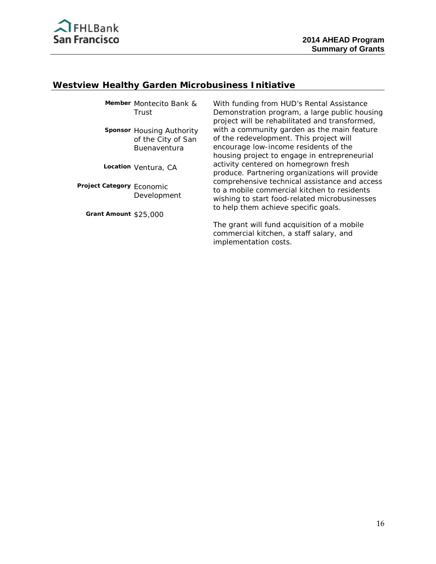

#### **Westview Healthy Garden Microbusiness Initiative**

**Member** Montecito Bank & Trust

**Sponsor** Housing Authority of the City of San Buenaventura

**Location** Ventura, CA

**Project Category** Economic Development

**Grant Amount** \$25,000

With funding from HUD's Rental Assistance Demonstration program, a large public housing project will be rehabilitated and transformed, with a community garden as the main feature of the redevelopment. This project will encourage low-income residents of the housing project to engage in entrepreneurial activity centered on homegrown fresh produce. Partnering organizations will provide comprehensive technical assistance and access to a mobile commercial kitchen to residents wishing to start food-related microbusinesses to help them achieve specific goals.

The grant will fund acquisition of a mobile commercial kitchen, a staff salary, and implementation costs.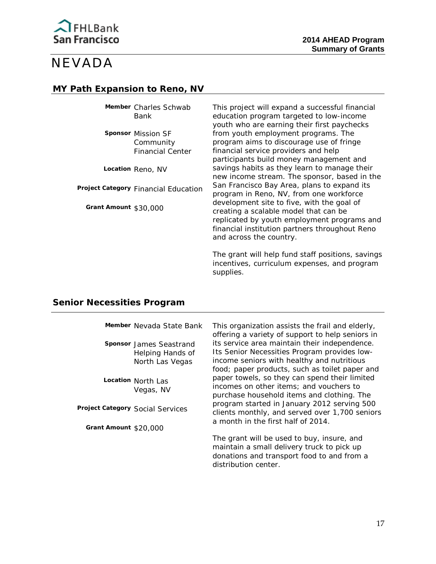

# NEVADA

#### **MY Path Expansion to Reno, NV**

**Member** Charles Schwab Bank

**Sponsor** Mission SF **Community** Financial Center

**Location** Reno, NV

**Project Category** Financial Education

**Grant Amount** \$30,000

This project will expand a successful financial education program targeted to low-income youth who are earning their first paychecks from youth employment programs. The program aims to discourage use of fringe financial service providers and help participants build money management and savings habits as they learn to manage their new income stream. The sponsor, based in the San Francisco Bay Area, plans to expand its program in Reno, NV, from one workforce development site to five, with the goal of creating a scalable model that can be replicated by youth employment programs and financial institution partners throughout Reno and across the country.

The grant will help fund staff positions, savings incentives, curriculum expenses, and program supplies.

#### **Senior Necessities Program**

|                       | Member Nevada State Bank                                                             | This organization assists the frail and elderly,<br>offering a variety of support to help seniors in                                                                                                                                           |
|-----------------------|--------------------------------------------------------------------------------------|------------------------------------------------------------------------------------------------------------------------------------------------------------------------------------------------------------------------------------------------|
|                       | Sponsor James Seastrand<br>Helping Hands of<br>North Las Vegas<br>Location North Las | its service area maintain their independence.<br>Its Senior Necessities Program provides low-<br>income seniors with healthy and nutritious<br>food; paper products, such as toilet paper and<br>paper towels, so they can spend their limited |
|                       | Vegas, NV                                                                            | incomes on other items; and vouchers to<br>purchase household items and clothing. The                                                                                                                                                          |
|                       | Project Category Social Services                                                     | program started in January 2012 serving 500<br>clients monthly, and served over 1,700 seniors<br>a month in the first half of 2014.                                                                                                            |
| Grant Amount \$20,000 |                                                                                      |                                                                                                                                                                                                                                                |
|                       |                                                                                      | The grant will be used to buy, insure, and<br>maintain a small delivery truck to pick up<br>donations and transport food to and from a<br>distribution center                                                                                  |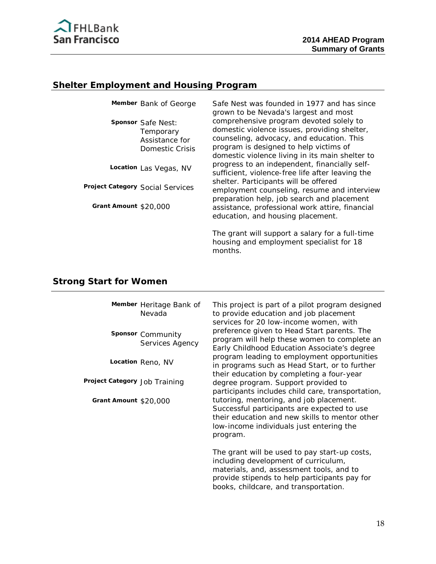

# **Shelter Employment and Housing Program**

| Member Bank of George                                                | Safe Nest was founded in 1977 and has since<br>grown to be Nevada's largest and most                                                                                           |
|----------------------------------------------------------------------|--------------------------------------------------------------------------------------------------------------------------------------------------------------------------------|
| Sponsor Safe Nest:<br>Temporary<br>Assistance for<br>Domestic Crisis | comprehensive program devoted solely to<br>domestic violence issues, providing shelter,<br>counseling, advocacy, and education. This<br>program is designed to help victims of |
| Location Las Vegas, NV                                               | domestic violence living in its main shelter to<br>progress to an independent, financially self-<br>sufficient, violence-free life after leaving the                           |
| Project Category Social Services                                     | shelter. Participants will be offered<br>employment counseling, resume and interview                                                                                           |
| Grant Amount \$20,000                                                | preparation help, job search and placement<br>assistance, professional work attire, financial<br>education, and housing placement.                                             |
|                                                                      | The grant will support a salary for a full-time                                                                                                                                |

months.

housing and employment specialist for 18

## **Strong Start for Women**

|                               | Member Heritage Bank of<br>Nevada    | This project is part of a pilot program designed<br>to provide education and job placement<br>services for 20 low-income women, with                                                                                        |
|-------------------------------|--------------------------------------|-----------------------------------------------------------------------------------------------------------------------------------------------------------------------------------------------------------------------------|
|                               | Sponsor Community<br>Services Agency | preference given to Head Start parents. The<br>program will help these women to complete an<br>Early Childhood Education Associate's degree                                                                                 |
|                               | Location Reno, NV                    | program leading to employment opportunities<br>in programs such as Head Start, or to further                                                                                                                                |
| Project Category Job Training |                                      | their education by completing a four-year<br>degree program. Support provided to<br>participants includes child care, transportation,                                                                                       |
| Grant Amount \$20,000         |                                      | tutoring, mentoring, and job placement.<br>Successful participants are expected to use<br>their education and new skills to mentor other<br>low-income individuals just entering the<br>program.                            |
|                               |                                      | The grant will be used to pay start-up costs,<br>including development of curriculum,<br>materials, and, assessment tools, and to<br>provide stipends to help participants pay for<br>books, childcare, and transportation. |